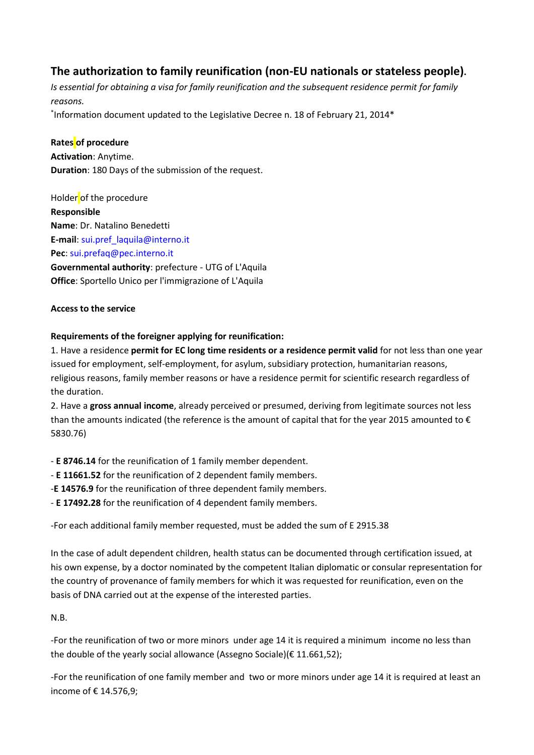## **The authorization to family reunification (non-EU nationals or stateless people).**

*Is essential for obtaining a visa for family reunification and the subsequent residence permit for family reasons.*

\* Information document updated to the Legislative Decree n. 18 of February 21, 2014\*

### **Rates of procedure**

**Activation**: Anytime. **Duration**: 180 Days of the submission of the request.

Holder of the procedure **Responsible Name**: Dr. Natalino Benedetti **E-mail**: [sui.pref\\_laquila@interno.it](mailto:sui.pref_laquila@interno.it) **Pec**: [sui.prefaq@pec.interno.it](mailto:sui.prefaq@pec.interno.it) **Governmental authority**: prefecture - UTG of L'Aquila **Office**: Sportello Unico per l'immigrazione of L'Aquila

### **Access to the service**

### **Requirements of the foreigner applying for reunification:**

1. Have a residence **permit for EC long time residents or a residence permit valid** for not less than one year issued for employment, self-employment, for asylum, subsidiary protection, humanitarian reasons, religious reasons, family member reasons or have a residence permit for scientific research regardless of the duration.

2. Have a **gross annual income**, already perceived or presumed, deriving from legitimate sources not less than the amounts indicated (the reference is the amount of capital that for the year 2015 amounted to  $\epsilon$ 5830.76)

- **E 8746.14** for the reunification of 1 family member dependent.

- **E 11661.52** for the reunification of 2 dependent family members.

-**E 14576.9** for the reunification of three dependent family members.

- **E 17492.28** for the reunification of 4 dependent family members.

-For each additional family member requested, must be added the sum of E 2915.38

In the case of adult dependent children, health status can be documented through certification issued, at his own expense, by a doctor nominated by the competent Italian diplomatic or consular representation for the country of provenance of family members for which it was requested for reunification, even on the basis of DNA carried out at the expense of the interested parties.

### N.B.

-For the reunification of two or more minors under age 14 it is required a minimum income no less than the double of the yearly social allowance (Assegno Sociale)(€ 11.661,52);

-For the reunification of one family member and two or more minors under age 14 it is required at least an income of € 14.576,9;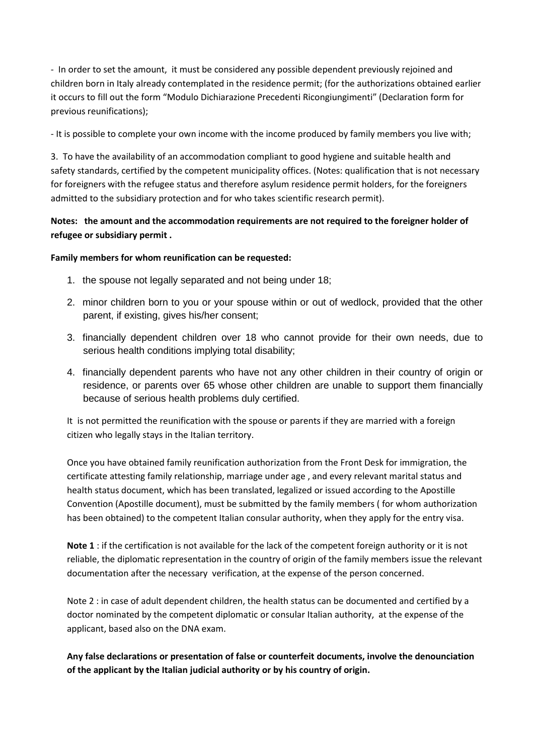- In order to set the amount, it must be considered any possible dependent previously rejoined and children born in Italy already contemplated in the residence permit; (for the authorizations obtained earlier it occurs to fill out the form "Modulo Dichiarazione Precedenti Ricongiungimenti" (Declaration form for previous reunifications);

- It is possible to complete your own income with the income produced by family members you live with;

3. To have the availability of an accommodation compliant to good hygiene and suitable health and safety standards, certified by the competent municipality offices. (Notes: qualification that is not necessary for foreigners with the refugee status and therefore asylum residence permit holders, for the foreigners admitted to the subsidiary protection and for who takes scientific research permit).

### **Notes: the amount and the accommodation requirements are not required to the foreigner holder of refugee or subsidiary permit .**

### **Family members for whom reunification can be requested:**

- 1. the spouse not legally separated and not being under 18;
- 2. minor children born to you or your spouse within or out of wedlock, provided that the other parent, if existing, gives his/her consent;
- 3. financially dependent children over 18 who cannot provide for their own needs, due to serious health conditions implying total disability;
- 4. financially dependent parents who have not any other children in their country of origin or residence, or parents over 65 whose other children are unable to support them financially because of serious health problems duly certified.

It is not permitted the reunification with the spouse or parents if they are married with a foreign citizen who legally stays in the Italian territory.

Once you have obtained family reunification authorization from the Front Desk for immigration, the certificate attesting family relationship, marriage under age , and every relevant marital status and health status document, which has been translated, legalized or issued according to the Apostille Convention (Apostille document), must be submitted by the family members ( for whom authorization has been obtained) to the competent Italian consular authority, when they apply for the entry visa.

**Note 1** : if the certification is not available for the lack of the competent foreign authority or it is not reliable, the diplomatic representation in the country of origin of the family members issue the relevant documentation after the necessary verification, at the expense of the person concerned.

Note 2 : in case of adult dependent children, the health status can be documented and certified by a doctor nominated by the competent diplomatic or consular Italian authority, at the expense of the applicant, based also on the DNA exam.

**Any false declarations or presentation of false or counterfeit documents, involve the denounciation of the applicant by the Italian judicial authority or by his country of origin.**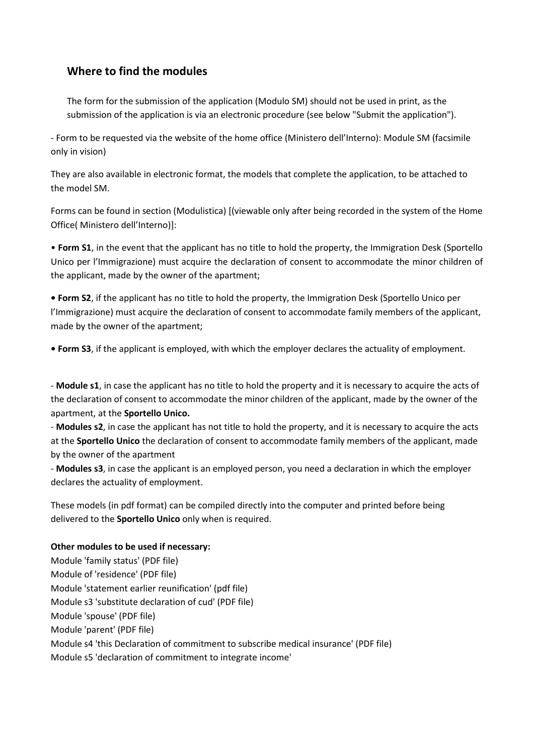## **Where to find the modules**

The form for the submission of the application (Modulo SM) should not be used in print, as the submission of the application is via an electronic procedure (see below "Submit the application").

- Form to be requested via the website of the home office (Ministero dell'Interno): Module SM (facsimile only in vision)

They are also available in electronic format, the models that complete the application, to be attached to the model SM.

Forms can be found in section (Modulistica) [(viewable only after being recorded in the system of the Home Office( Ministero dell'Interno)]:

• **Form S1**, in the event that the applicant has no title to hold the property, the Immigration Desk (Sportello Unico per l'Immigrazione) must acquire the declaration of consent to accommodate the minor children of the applicant, made by the owner of the apartment;

**• Form S2**, if the applicant has no title to hold the property, the Immigration Desk (Sportello Unico per l'Immigrazione) must acquire the declaration of consent to accommodate family members of the applicant, made by the owner of the apartment;

**• Form S3**, if the applicant is employed, with which the employer declares the actuality of employment.

- **Module s1**, in case the applicant has no title to hold the property and it is necessary to acquire the acts of the declaration of consent to accommodate the minor children of the applicant, made by the owner of the apartment, at the **Sportello Unico.**

- **Modules s2**, in case the applicant has not title to hold the property, and it is necessary to acquire the acts at the **Sportello Unico** the declaration of consent to accommodate family members of the applicant, made by the owner of the apartment

- **Modules s3**, in case the applicant is an employed person, you need a declaration in which the employer declares the actuality of employment.

These models (in pdf format) can be compiled directly into the computer and printed before being delivered to the **Sportello Unico** only when is required.

### **Other modules to be used if necessary:**

Module 'family status' (PDF file) Module of 'residence' (PDF file) Module 'statement earlier reunification' (pdf file) Module s3 'substitute declaration of cud' (PDF file) Module 'spouse' (PDF file) Module 'parent' (PDF file) Module s4 'this Declaration of commitment to subscribe medical insurance' (PDF file) Module s5 'declaration of commitment to integrate income'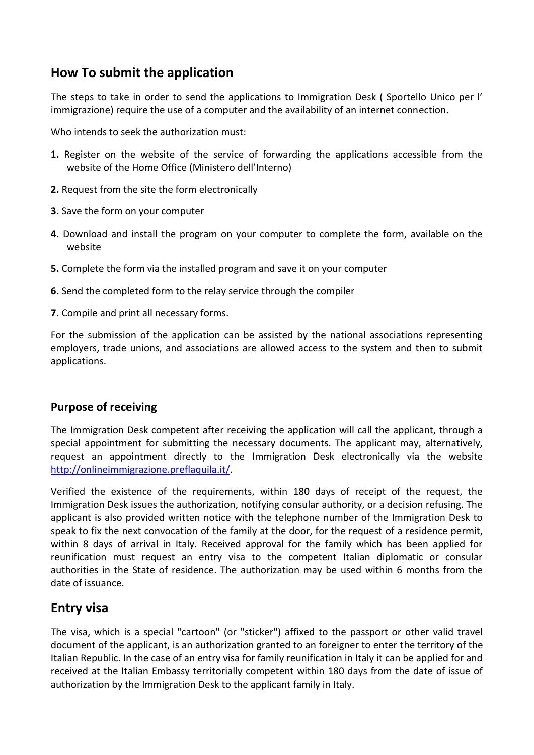# **How To submit the application**

The steps to take in order to send the applications to Immigration Desk ( Sportello Unico per l' immigrazione) require the use of a computer and the availability of an internet connection.

Who intends to seek the authorization must:

- **1.** Register on the website of the service of forwarding the applications accessible from the website of the Home Office (Ministero dell'Interno)
- **2.** Request from the site the form electronically
- **3.** Save the form on your computer
- **4.** Download and install the program on your computer to complete the form, available on the website
- **5.** Complete the form via the installed program and save it on your computer
- **6.** Send the completed form to the relay service through the compiler
- **7.** Compile and print all necessary forms.

For the submission of the application can be assisted by the national associations representing employers, trade unions, and associations are allowed access to the system and then to submit applications.

### **Purpose of receiving**

The Immigration Desk competent after receiving the application will call the applicant, through a special appointment for submitting the necessary documents. The applicant may, alternatively, request an appointment directly to the Immigration Desk electronically via the website [http://onlineimmigrazione.preflaquila.it/.](http://onlineimmigrazione.preflaquila.it/)

Verified the existence of the requirements, within 180 days of receipt of the request, the Immigration Desk issues the authorization, notifying consular authority, or a decision refusing. The applicant is also provided written notice with the telephone number of the Immigration Desk to speak to fix the next convocation of the family at the door, for the request of a residence permit, within 8 days of arrival in Italy. Received approval for the family which has been applied for reunification must request an entry visa to the competent Italian diplomatic or consular authorities in the State of residence. The authorization may be used within 6 months from the date of issuance.

## **Entry visa**

The visa, which is a special "cartoon" (or "sticker") affixed to the passport or other valid travel document of the applicant, is an authorization granted to an foreigner to enter the territory of the Italian Republic. In the case of an entry visa for family reunification in Italy it can be applied for and received at the Italian Embassy territorially competent within 180 days from the date of issue of authorization by the Immigration Desk to the applicant family in Italy.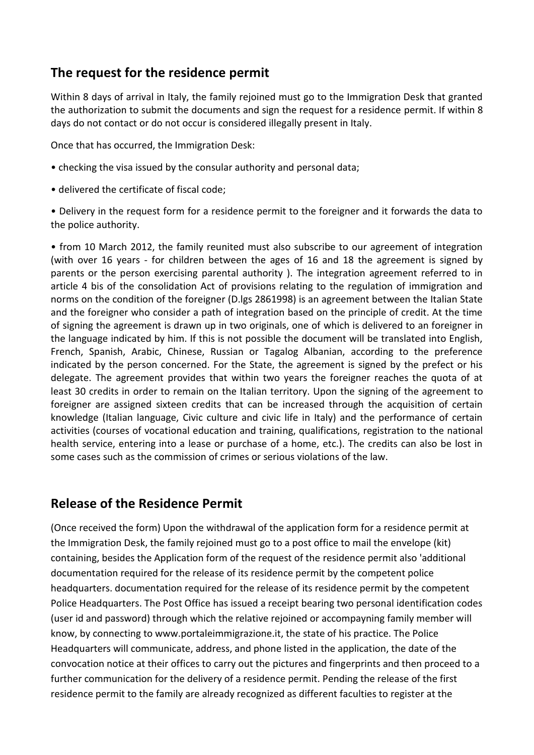# **The request for the residence permit**

Within 8 days of arrival in Italy, the family rejoined must go to the Immigration Desk that granted the authorization to submit the documents and sign the request for a residence permit. If within 8 days do not contact or do not occur is considered illegally present in Italy.

Once that has occurred, the Immigration Desk:

- checking the visa issued by the consular authority and personal data;
- delivered the certificate of fiscal code;
- Delivery in the request form for a residence permit to the foreigner and it forwards the data to the police authority.

• from 10 March 2012, the family reunited must also subscribe to our agreement of integration (with over 16 years - for children between the ages of 16 and 18 the agreement is signed by parents or the person exercising parental authority ). The integration agreement referred to in article 4 bis of the consolidation Act of provisions relating to the regulation of immigration and norms on the condition of the foreigner (D.lgs 2861998) is an agreement between the Italian State and the foreigner who consider a path of integration based on the principle of credit. At the time of signing the agreement is drawn up in two originals, one of which is delivered to an foreigner in the language indicated by him. If this is not possible the document will be translated into English, French, Spanish, Arabic, Chinese, Russian or Tagalog Albanian, according to the preference indicated by the person concerned. For the State, the agreement is signed by the prefect or his delegate. The agreement provides that within two years the foreigner reaches the quota of at least 30 credits in order to remain on the Italian territory. Upon the signing of the agreement to foreigner are assigned sixteen credits that can be increased through the acquisition of certain knowledge (Italian language, Civic culture and civic life in Italy) and the performance of certain activities (courses of vocational education and training, qualifications, registration to the national health service, entering into a lease or purchase of a home, etc.). The credits can also be lost in some cases such as the commission of crimes or serious violations of the law.

## **Release of the Residence Permit**

(Once received the form) Upon the withdrawal of the application form for a residence permit at the Immigration Desk, the family rejoined must go to a post office to mail the envelope (kit) containing, besides the Application form of the request of the residence permit also 'additional documentation required for the release of its residence permit by the competent police headquarters. documentation required for the release of its residence permit by the competent Police Headquarters. The Post Office has issued a receipt bearing two personal identification codes (user id and password) through which the relative rejoined or accompayning family member will know, by connecting to www.portaleimmigrazione.it, the state of his practice. The Police Headquarters will communicate, address, and phone listed in the application, the date of the convocation notice at their offices to carry out the pictures and fingerprints and then proceed to a further communication for the delivery of a residence permit. Pending the release of the first residence permit to the family are already recognized as different faculties to register at the